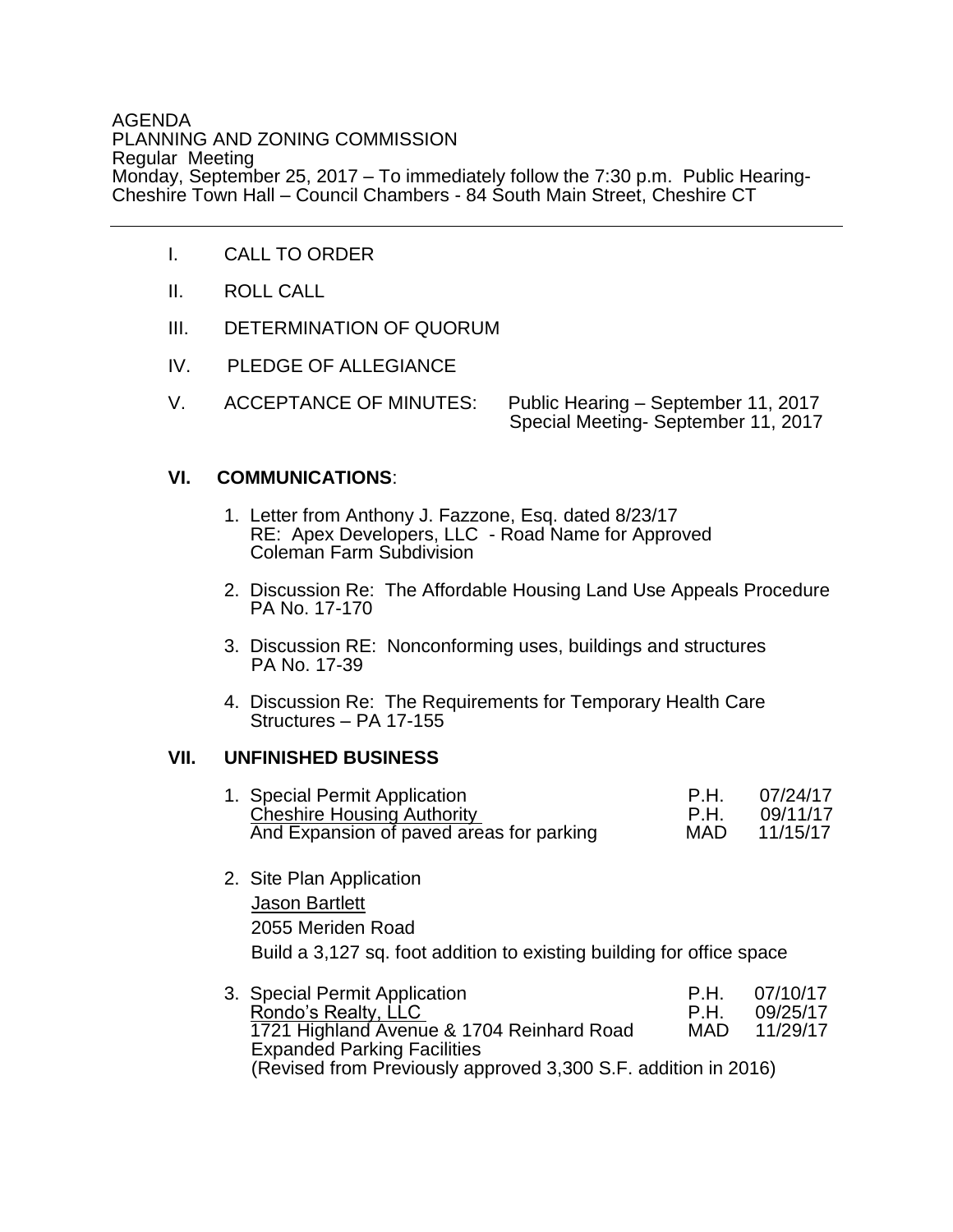#### AGENDA PLANNING AND ZONING COMMISSION Regular Meeting Monday, September 25, 2017 – To immediately follow the 7:30 p.m. Public Hearing-Cheshire Town Hall – Council Chambers - 84 South Main Street, Cheshire CT

- I. CALL TO ORDER
- II. ROLL CALL
- III. DETERMINATION OF QUORUM
- IV. PLEDGE OF ALLEGIANCE
- V. ACCEPTANCE OF MINUTES: Public Hearing September 11, 2017 Special Meeting- September 11, 2017

#### **VI. COMMUNICATIONS**:

- 1. Letter from Anthony J. Fazzone, Esq. dated 8/23/17 RE: Apex Developers, LLC - Road Name for Approved Coleman Farm Subdivision
- 2. Discussion Re: The Affordable Housing Land Use Appeals Procedure PA No. 17-170
- 3. Discussion RE: Nonconforming uses, buildings and structures PA No. 17-39
- 4. Discussion Re: The Requirements for Temporary Health Care Structures – PA 17-155

#### **VII. UNFINISHED BUSINESS**

| 1. Special Permit Application            | P H        | 07/24/17 |
|------------------------------------------|------------|----------|
| <b>Cheshire Housing Authority</b>        | P H        | 09/11/17 |
| And Expansion of paved areas for parking | <b>MAD</b> | 11/15/17 |

- 2. Site Plan Application Jason Bartlett 2055 Meriden Road Build a 3,127 sq. foot addition to existing building for office space
- 3. Special Permit Application **P.H.** 07/10/17<br>Rondo's Realty. LLC **P.H. 09/25/17** Rondo's Realty, LLC 1721 Highland Avenue & 1704 Reinhard Road MAD 11/29/17 Expanded Parking Facilities (Revised from Previously approved 3,300 S.F. addition in 2016)